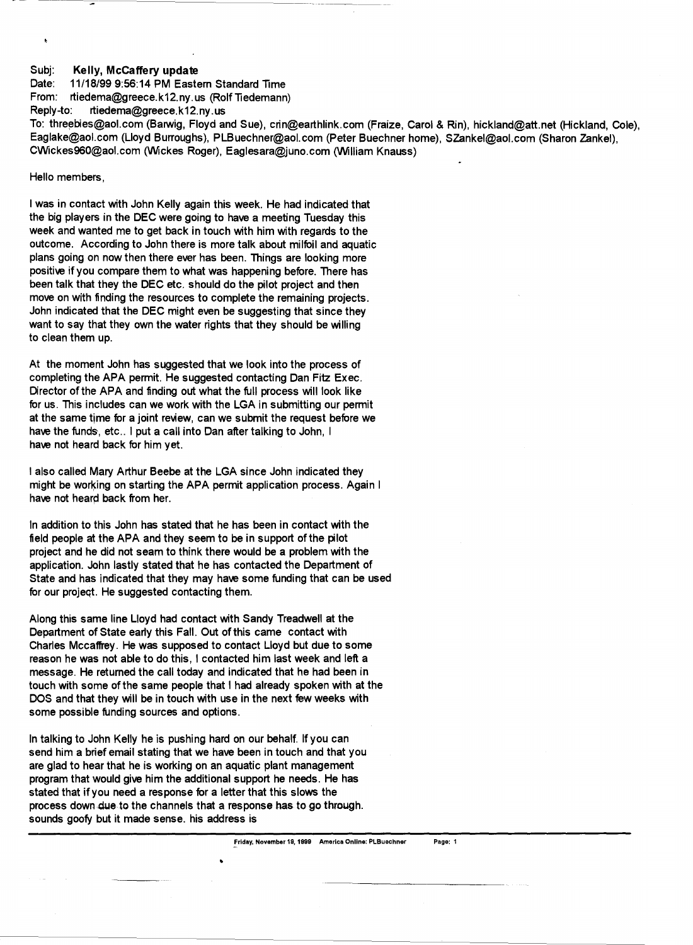## Subi: Kelly, McCaffery update

Date: 11/18/99 9:56: 14 PM Eastem Standard Time From: rtiedema@greece.k12.ny.us (Rolf Tiedemann) Reply-to: rtiedema@greece.k12.ny.us

To: threebies@aol.com (Barwig, Floyd and Sue), crin@earthlink.com (Fraize, Carol & Rin), hickland@att.net (Hickland, Cole), Eaglake@aol.com (Lloyd Burroughs), PLBuechner@aol.com (Peter Buechner home), SZankel@aol.com (Sharon Zankel), CWickes960@aol.com (Wickes Roger), Eaglesara@juno.com (William Knauss)

## Hello members,

I was in contact with John Kelly again this week. He had indicated that the big players in the DEC were going to have a meeting Tuesday this week and wanted me to get back in touch with him with regards to the outcome. According to John there is more talk about milfoil and aquatic plans going on now then there ever has been. Things are looking more positive if you compare them to what was happening before. There has been talk that they the DEC etc. should do the pilot project and then move on with finding the resources to complete the remaining projects. John indicated that the DEC might even be suggesting that since they want to say that they own the water rights that they should be willing to clean them up.

At the moment John has suggested that we look into the process of completing the APA permit. He suggested contacting Dan Fitz Exec. Director of the APA and finding out what the full process will look like for us. This includes can we work with the LGA in submitting our permit at the same time for a joint review, can we submit the request before we have the funds, etc.. I put a call into Dan after talking to John, I have not heard back for him yet.

I also called Mary Arthur Beebe at the LGA since John indicated they might be working on starting the APA permit application process. Again I have not heard back from her.

In addition to this John has stated that he has been in contact with the field people at the APA and they seem to be in support of the pilot project and he did not seam to think there would be a problem with the application. John lastly stated that he has contacted the Department of State and has indicated that they may have some funding that can be used for our projeqt. He suggested contacting them.

Along this same line Lloyd had contact with Sandy Treadwell at the Department of State early this Fall. Out of this came contact with Charles Mccaffrey. He was supposed to contact Lloyd but due to some reason he was not able to do this, I contacted him last week and left a message. He retumed the call today and indicated that he had been in touch with some of the same people that I had already spoken with at the DOS and that they will be in touch with use in the next few weeks with some possible funding sources and options.

In talking to John Kelly he is pushing hard on our behalf. If you can send him a brief email stating that we have been in touch and that you are glad to hear that he is working on an aquatic plant management program that would give him the additional support he needs. He has stated that if you need a response for a letter that this slows the process down due to the channels that a response has to go through. sounds goofy but it made sense. his address is

•